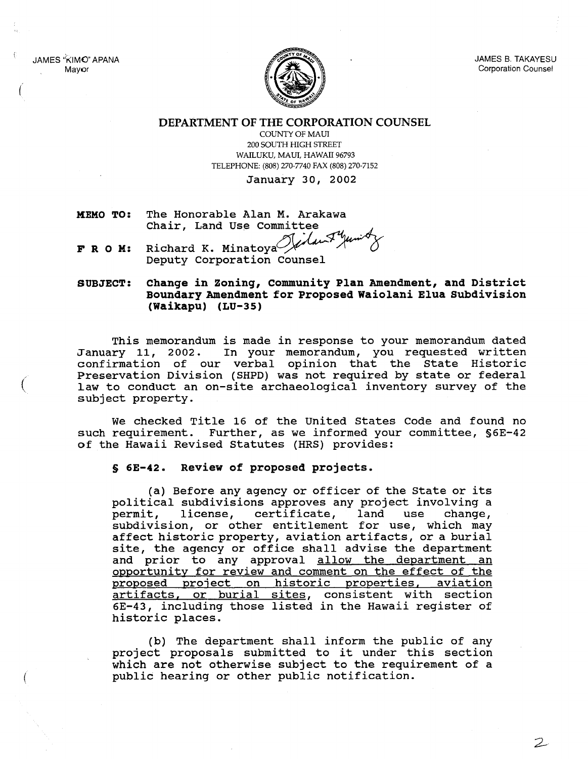JAMES "KIMO" APANA Mayor

(

(



JAMES 8. TAKAYESU Corporation Counsel

 $\mathcal{Z}$ 

DEPARTMENT OF THE CORPORATION COUNSEL

COUNTY OF MAUl 200 SOUTH HIGH STREET WAILUKU, MAUl, HAWAII 96793 TELEPHONE: (808) 270-7740 FAX (808) 270-7152

January 30, 2002

- **HEMO TO:** The Honorable Alan M. Arakawa Chair, Land Use Committee
- **FRO M:** Richard K. Minatova $^{(}$ Deputy Corporation Counsel

**SUBJECT: Change in Zoning, community Plan Amendment, and District Boundary Amendment for Proposed Waiolani Elua Subdivision (Waikapu) (LU-35)**

This memorandum is made in response to your memorandum dated January 11, 2002. In your memorandum, you requested written confirmation of our verbal opinion that the state Historic Preservation Division (SHPD) was not required by state or federal law to conduct an on-site archaeological inventory survey of the subject property.

We checked Title 16 of the united states Code and found no such requirement. Further, as we informed your committee, §6E-42 of the Hawaii Revised statutes (HRS) provides:

## **§ 6E-42. Review of proposed projects.**

(a) Before any agency or officer of the state or its political subdivisions approves any project involving a permit, license, certificate, land use change, license, certificate, land use subdivision, or other entitlement for use, which may affect historic property, aviation artifacts, or <sup>a</sup> burial site, the agency or office shall advise the department and prior to any approval allow the department an opportunity for review and comment on the effect of the proposed project on historic properties, aviation artifacts, or burial sites, consistent with section 6E-43, including those listed in the Hawaii register of historic places.

(b) The department shall inform the public of any project proposals submitted to it under this section which are not otherwise subject to the requirement of a public hearing or other public notification.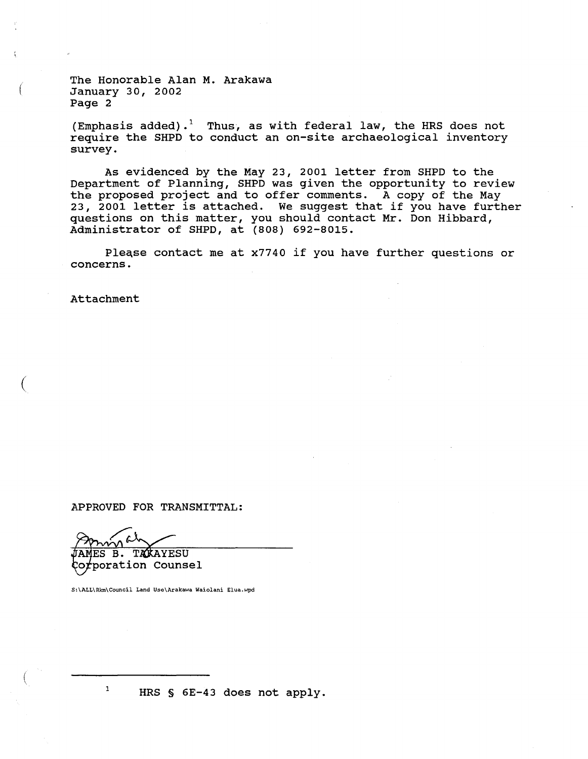The Honorable Alan M. Arakawa January 30, 2002 Page 2

(Emphasis added).<sup>1</sup> Thus, as with federal law, the HRS does not require the SHPD to conduct an on-site archaeological inventory survey.

As evidenced by the May 23, <sup>2001</sup> letter from SHPD to the Department of planning, SHPD was given the opportunity to review the proposed project and to offer comments. A copy of the May 23, <sup>2001</sup> letter is attached. We suggest that if you have further questions on this matter, you should contact Mr. Don Hibbard, Administrator of SHPD, at (808) 692-8015.

Please contact me at x7740 if you have further questions or concerns.

Attachment

(

(

(

APPROVED FOR TRANSMITTAL:

TAKAYESU MES B. rporation Counsel

S:\ALL\Rkrn\Council Land Use\Arakawa Waiolani Elua.wpd

<sup>1</sup> HRS §  $6E-43$  does not apply.